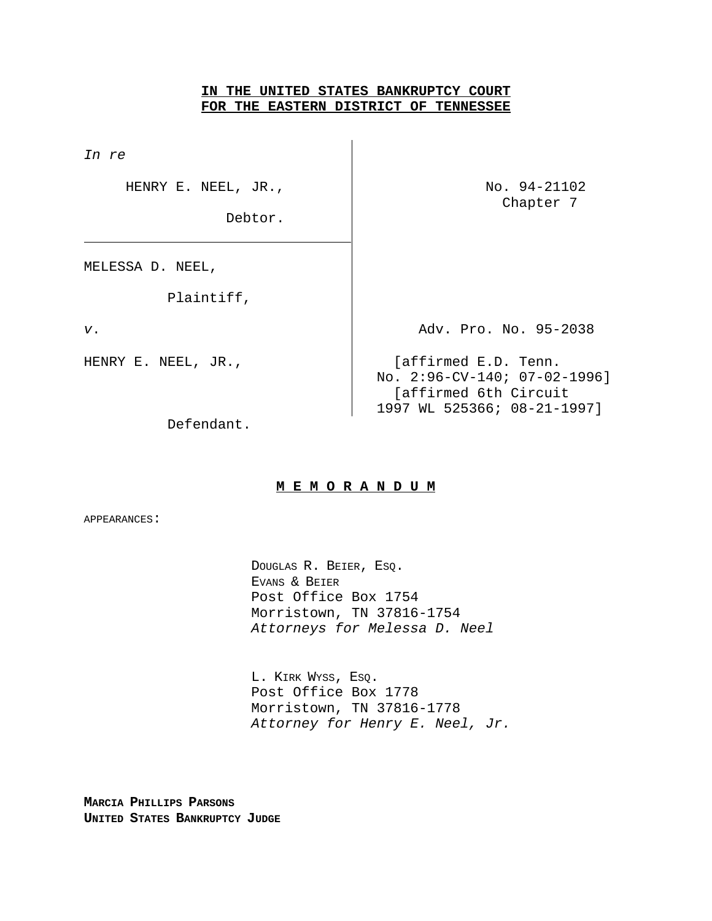## **IN THE UNITED STATES BANKRUPTCY COURT FOR THE EASTERN DISTRICT OF TENNESSEE**

*In re*

HENRY E. NEEL, JR.,  $\vert$   $\vert$   $\vert$  No. 94-21102

Debtor.

MELESSA D. NEEL,

Plaintiff,

*v*. 2008 2010 2020 2038

Chapter 7

HENRY E. NEEL, JR.,  $\vert$  [affirmed E.D. Tenn. No. 2:96-CV-140; 07-02-1996] [affirmed 6th Circuit 1997 WL 525366; 08-21-1997]

Defendant.

## **M E M O R A N D U M**

APPEARANCES:

DOUGLAS R. BEIER, ESQ. EVANS & BEIER Post Office Box 1754 Morristown, TN 37816-1754 *Attorneys for Melessa D. Neel*

L. KIRK WYSS, ESQ. Post Office Box 1778 Morristown, TN 37816-1778 *Attorney for Henry E. Neel, Jr.*

**MARCIA PHILLIPS PARSONS UNITED STATES BANKRUPTCY JUDGE**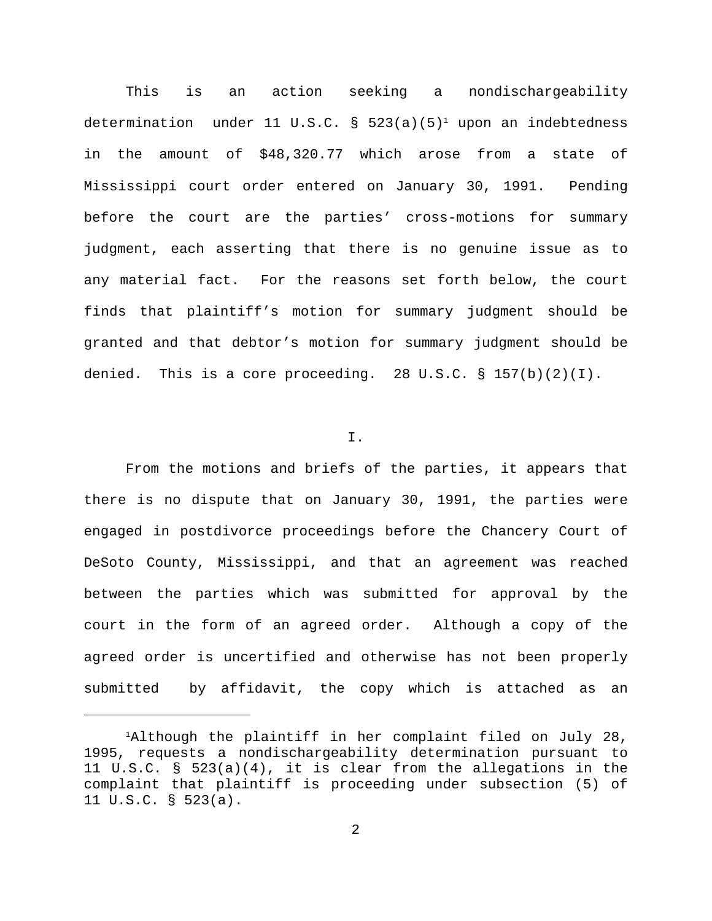This is an action seeking a nondischargeability determination  $\quad$  under  $11$  U.S.C.  $\quad$  523(a)(5) $^1$  upon an indebtedness in the amount of \$48,320.77 which arose from a state of Mississippi court order entered on January 30, 1991. Pending before the court are the parties' cross-motions for summary judgment, each asserting that there is no genuine issue as to any material fact. For the reasons set forth below, the court finds that plaintiff's motion for summary judgment should be granted and that debtor's motion for summary judgment should be denied. This is a core proceeding. 28 U.S.C.  $\S$  157(b)(2)(I).

I.

From the motions and briefs of the parties, it appears that there is no dispute that on January 30, 1991, the parties were engaged in postdivorce proceedings before the Chancery Court of DeSoto County, Mississippi, and that an agreement was reached between the parties which was submitted for approval by the court in the form of an agreed order. Although a copy of the agreed order is uncertified and otherwise has not been properly submitted by affidavit, the copy which is attached as an

Although the plaintiff in her complaint filed on July 28, 1995, requests a nondischargeability determination pursuant to 11 U.S.C. § 523(a)(4), it is clear from the allegations in the complaint that plaintiff is proceeding under subsection (5) of 11 U.S.C. § 523(a).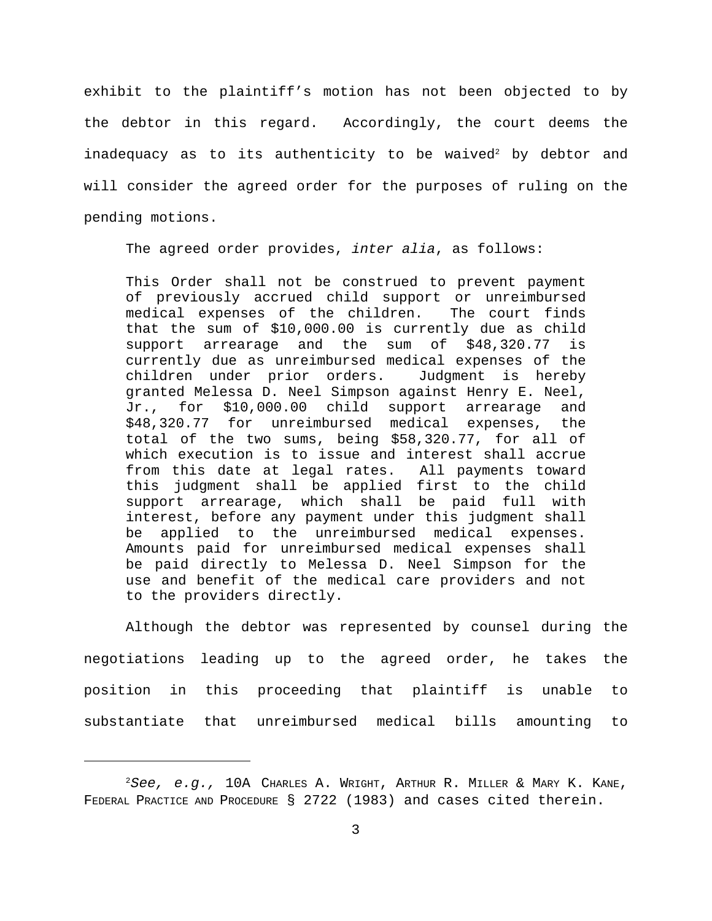exhibit to the plaintiff's motion has not been objected to by the debtor in this regard. Accordingly, the court deems the inadequacy as to its authenticity to be waived<sup>2</sup> by debtor and will consider the agreed order for the purposes of ruling on the pending motions.

The agreed order provides, *inter alia*, as follows:

 This Order shall not be construed to prevent payment of previously accrued child support or unreimbursed medical expenses of the children. The court finds that the sum of \$10,000.00 is currently due as child support arrearage and the sum of \$48,320.77 is currently due as unreimbursed medical expenses of the children under prior orders. Judgment is hereby granted Melessa D. Neel Simpson against Henry E. Neel, Jr., for \$10,000.00 child support arrearage and \$48,320.77 for unreimbursed medical expenses, the total of the two sums, being \$58,320.77, for all of which execution is to issue and interest shall accrue from this date at legal rates. All payments toward this judgment shall be applied first to the child support arrearage, which shall be paid full with interest, before any payment under this judgment shall be applied to the unreimbursed medical expenses. Amounts paid for unreimbursed medical expenses shall be paid directly to Melessa D. Neel Simpson for the use and benefit of the medical care providers and not to the providers directly.

Although the debtor was represented by counsel during the negotiations leading up to the agreed order, he takes the position in this proceeding that plaintiff is unable to substantiate that unreimbursed medical bills amounting to

<sup>&</sup>lt;sup>2</sup>See, e.g., 10A Charles A. Wright, Arthur R. Miller & Mary K. Kane, FEDERAL PRACTICE AND PROCEDURE § 2722 (1983) and cases cited therein.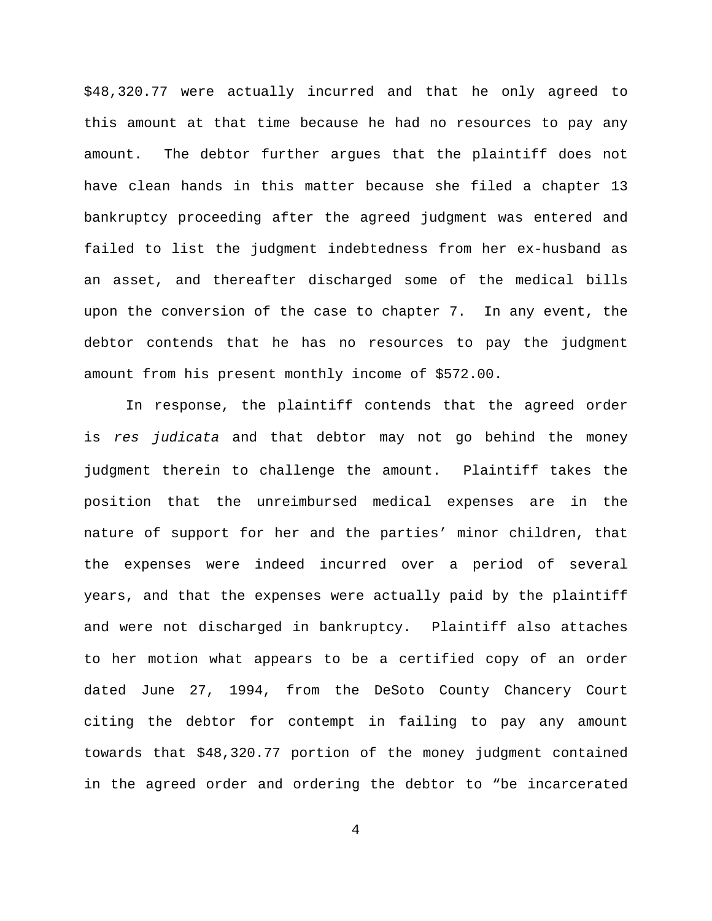\$48,320.77 were actually incurred and that he only agreed to this amount at that time because he had no resources to pay any amount. The debtor further argues that the plaintiff does not have clean hands in this matter because she filed a chapter 13 bankruptcy proceeding after the agreed judgment was entered and failed to list the judgment indebtedness from her ex-husband as an asset, and thereafter discharged some of the medical bills upon the conversion of the case to chapter 7. In any event, the debtor contends that he has no resources to pay the judgment amount from his present monthly income of \$572.00.

In response, the plaintiff contends that the agreed order is *res judicata* and that debtor may not go behind the money judgment therein to challenge the amount. Plaintiff takes the position that the unreimbursed medical expenses are in the nature of support for her and the parties' minor children, that the expenses were indeed incurred over a period of several years, and that the expenses were actually paid by the plaintiff and were not discharged in bankruptcy. Plaintiff also attaches to her motion what appears to be a certified copy of an order dated June 27, 1994, from the DeSoto County Chancery Court citing the debtor for contempt in failing to pay any amount towards that \$48,320.77 portion of the money judgment contained in the agreed order and ordering the debtor to "be incarcerated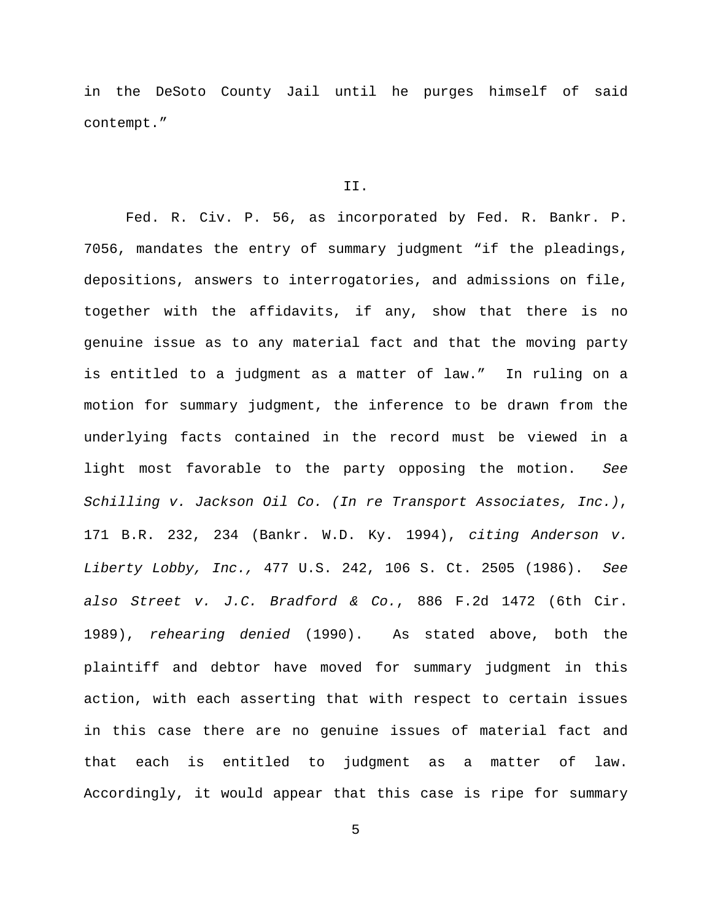in the DeSoto County Jail until he purges himself of said contempt."

## II.

Fed. R. Civ. P. 56, as incorporated by Fed. R. Bankr. P. 7056, mandates the entry of summary judgment "if the pleadings, depositions, answers to interrogatories, and admissions on file, together with the affidavits, if any, show that there is no genuine issue as to any material fact and that the moving party is entitled to a judgment as a matter of law." In ruling on a motion for summary judgment, the inference to be drawn from the underlying facts contained in the record must be viewed in a light most favorable to the party opposing the motion. *See Schilling v. Jackson Oil Co. (In re Transport Associates, Inc.)*, 171 B.R. 232, 234 (Bankr. W.D. Ky. 1994), *citing Anderson v. Liberty Lobby, Inc.,* 477 U.S. 242, 106 S. Ct. 2505 (1986). *See also Street v. J.C. Bradford & Co.*, 886 F.2d 1472 (6th Cir. 1989), *rehearing denied* (1990). As stated above, both the plaintiff and debtor have moved for summary judgment in this action, with each asserting that with respect to certain issues in this case there are no genuine issues of material fact and that each is entitled to judgment as a matter of law. Accordingly, it would appear that this case is ripe for summary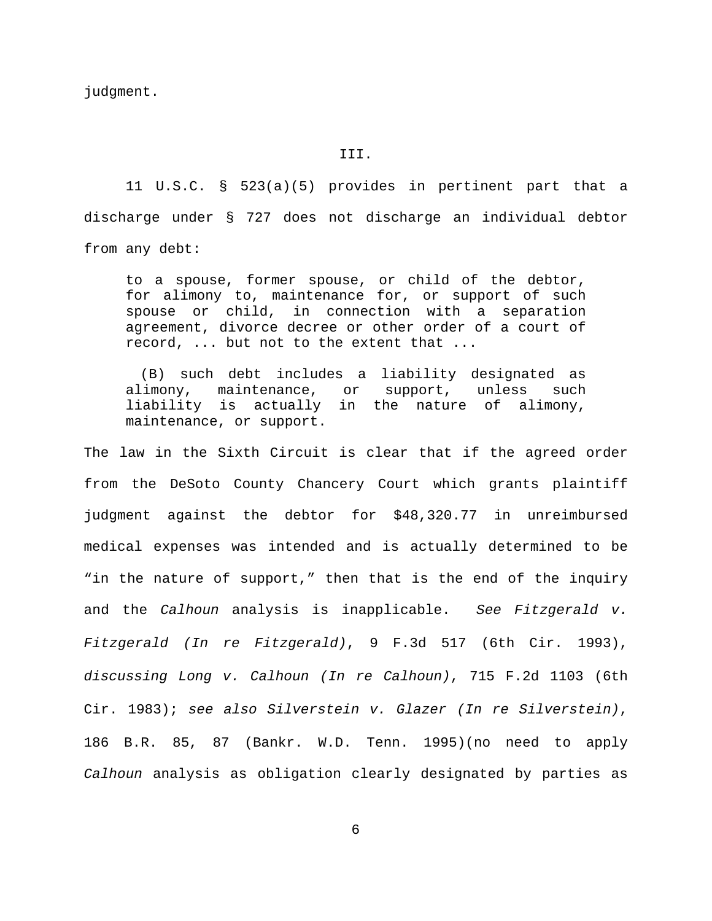judgment.

III.

11 U.S.C. § 523(a)(5) provides in pertinent part that a discharge under § 727 does not discharge an individual debtor from any debt:

to a spouse, former spouse, or child of the debtor, for alimony to, maintenance for, or support of such spouse or child, in connection with a separation agreement, divorce decree or other order of a court of record, ... but not to the extent that ...

 (B) such debt includes a liability designated as alimony, maintenance, or support, unless such liability is actually in the nature of alimony, maintenance, or support.

The law in the Sixth Circuit is clear that if the agreed order from the DeSoto County Chancery Court which grants plaintiff judgment against the debtor for \$48,320.77 in unreimbursed medical expenses was intended and is actually determined to be "in the nature of support," then that is the end of the inquiry and the *Calhoun* analysis is inapplicable. *See Fitzgerald v. Fitzgerald (In re Fitzgerald)*, 9 F.3d 517 (6th Cir. 1993), *discussing Long v. Calhoun (In re Calhoun)*, 715 F.2d 1103 (6th Cir. 1983); *see also Silverstein v. Glazer (In re Silverstein)*, 186 B.R. 85, 87 (Bankr. W.D. Tenn. 1995)(no need to apply *Calhoun* analysis as obligation clearly designated by parties as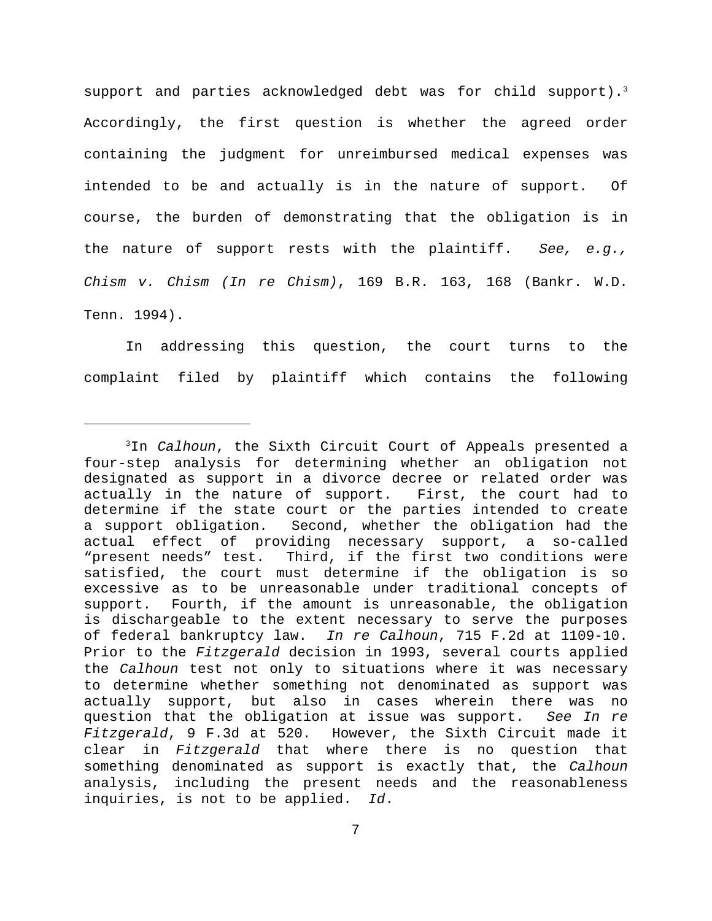support and parties acknowledged debt was for child support).<sup>3</sup> Accordingly, the first question is whether the agreed order containing the judgment for unreimbursed medical expenses was intended to be and actually is in the nature of support. Of course, the burden of demonstrating that the obligation is in the nature of support rests with the plaintiff. *See, e.g., Chism v. Chism (In re Chism)*, 169 B.R. 163, 168 (Bankr. W.D. Tenn. 1994).

In addressing this question, the court turns to the complaint filed by plaintiff which contains the following

<sup>&</sup>lt;sup>3</sup>In *Calhoun*, the Sixth Circuit Court of Appeals presented a four-step analysis for determining whether an obligation not designated as support in a divorce decree or related order was actually in the nature of support. First, the court had to determine if the state court or the parties intended to create a support obligation. Second, whether the obligation had the actual effect of providing necessary support, a so-called "present needs" test. Third, if the first two conditions were satisfied, the court must determine if the obligation is so excessive as to be unreasonable under traditional concepts of support. Fourth, if the amount is unreasonable, the obligation is dischargeable to the extent necessary to serve the purposes of federal bankruptcy law. *In re Calhoun*, 715 F.2d at 1109-10. Prior to the *Fitzgerald* decision in 1993, several courts applied the *Calhoun* test not only to situations where it was necessary to determine whether something not denominated as support was actually support, but also in cases wherein there was no question that the obligation at issue was support. *See In re Fitzgerald*, 9 F.3d at 520. However, the Sixth Circuit made it clear in *Fitzgerald* that where there is no question that something denominated as support is exactly that, the *Calhoun* analysis, including the present needs and the reasonableness inquiries, is not to be applied. *Id*.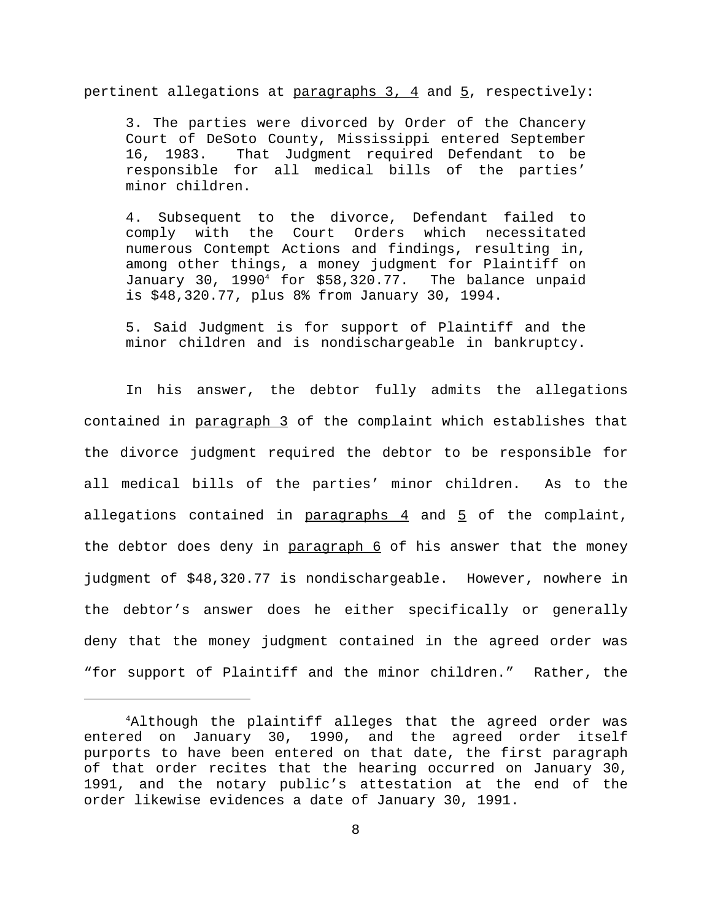pertinent allegations at  $\frac{1}{2}$  and  $\frac{1}{2}$ , respectively:

3. The parties were divorced by Order of the Chancery Court of DeSoto County, Mississippi entered September 16, 1983. That Judgment required Defendant to be responsible for all medical bills of the parties' minor children.

4. Subsequent to the divorce, Defendant failed to comply with the Court Orders which necessitated numerous Contempt Actions and findings, resulting in, among other things, a money judgment for Plaintiff on January 30,  $1990^4$  for \$58,320.77. The balance unpaid is \$48,320.77, plus 8% from January 30, 1994.

5. Said Judgment is for support of Plaintiff and the minor children and is nondischargeable in bankruptcy.

In his answer, the debtor fully admits the allegations contained in paragraph 3 of the complaint which establishes that the divorce judgment required the debtor to be responsible for all medical bills of the parties' minor children. As to the allegations contained in  $\frac{1}{2}$  and  $\frac{1}{2}$  of the complaint, the debtor does deny in  $\frac{b}{c}$  of his answer that the money judgment of \$48,320.77 is nondischargeable. However, nowhere in the debtor's answer does he either specifically or generally deny that the money judgment contained in the agreed order was "for support of Plaintiff and the minor children." Rather, the

Although the plaintiff alleges that the agreed order was 4 entered on January 30, 1990, and the agreed order itself purports to have been entered on that date, the first paragraph of that order recites that the hearing occurred on January 30, 1991, and the notary public's attestation at the end of the order likewise evidences a date of January 30, 1991.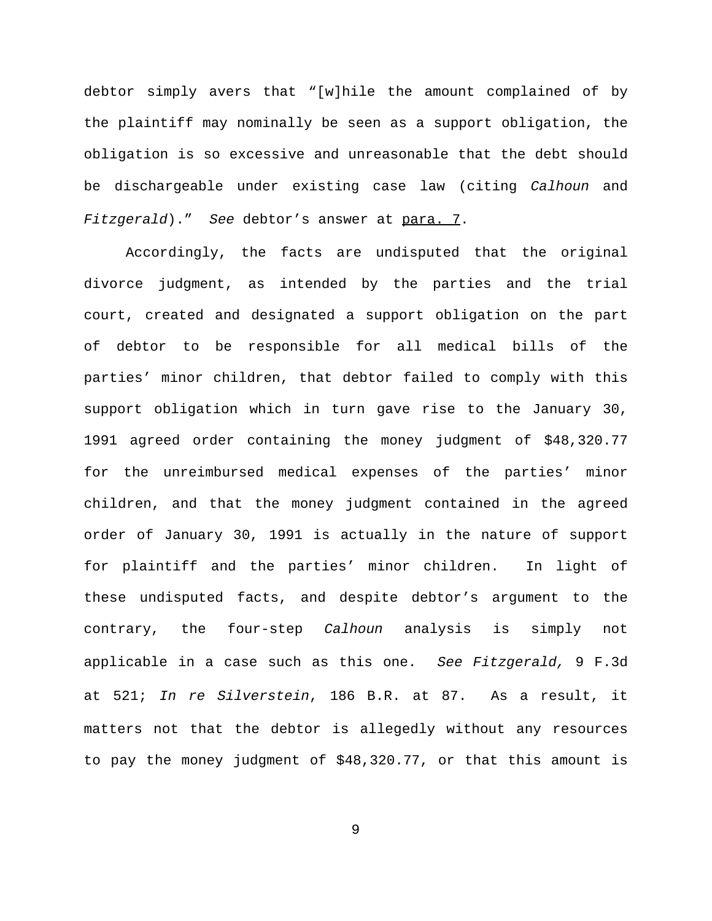debtor simply avers that "[w]hile the amount complained of by the plaintiff may nominally be seen as a support obligation, the obligation is so excessive and unreasonable that the debt should be dischargeable under existing case law (citing *Calhoun* and *Fitzgerald*)." *See* debtor's answer at para. 7.

Accordingly, the facts are undisputed that the original divorce judgment, as intended by the parties and the trial court, created and designated a support obligation on the part of debtor to be responsible for all medical bills of the parties' minor children, that debtor failed to comply with this support obligation which in turn gave rise to the January 30, 1991 agreed order containing the money judgment of \$48,320.77 for the unreimbursed medical expenses of the parties' minor children, and that the money judgment contained in the agreed order of January 30, 1991 is actually in the nature of support for plaintiff and the parties' minor children. In light of these undisputed facts, and despite debtor's argument to the contrary, the four-step *Calhoun* analysis is simply not applicable in a case such as this one. *See Fitzgerald,* 9 F.3d at 521; *In re Silverstein*, 186 B.R. at 87. As a result, it matters not that the debtor is allegedly without any resources to pay the money judgment of \$48,320.77, or that this amount is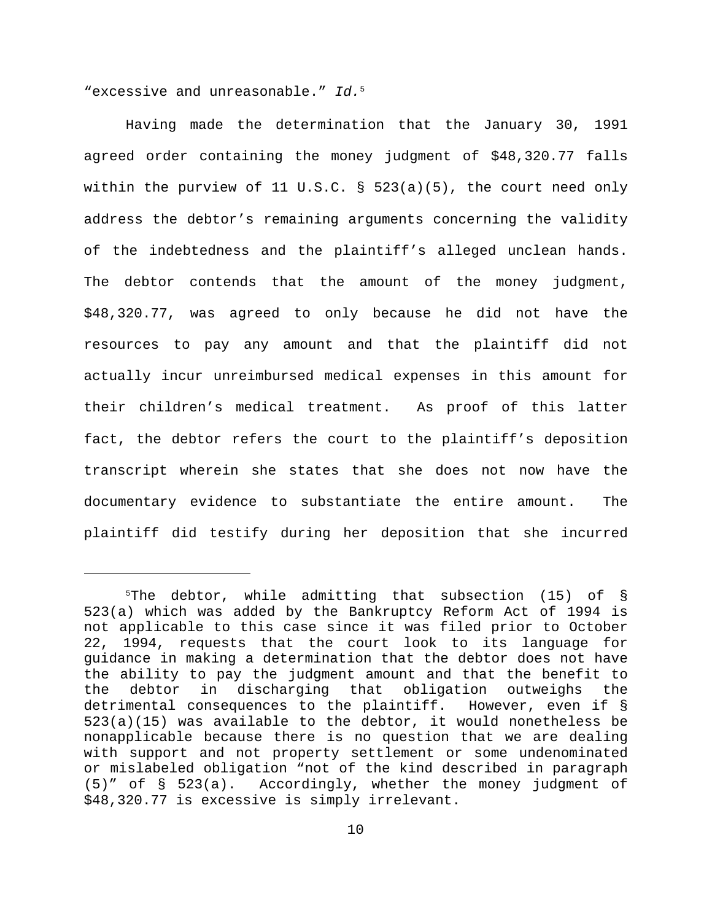"excessive and unreasonable." *Id.*<sup>5</sup>

Having made the determination that the January 30, 1991 agreed order containing the money judgment of \$48,320.77 falls within the purview of 11 U.S.C.  $\S$  523(a)(5), the court need only address the debtor's remaining arguments concerning the validity of the indebtedness and the plaintiff's alleged unclean hands. The debtor contends that the amount of the money judgment, \$48,320.77, was agreed to only because he did not have the resources to pay any amount and that the plaintiff did not actually incur unreimbursed medical expenses in this amount for their children's medical treatment. As proof of this latter fact, the debtor refers the court to the plaintiff's deposition transcript wherein she states that she does not now have the documentary evidence to substantiate the entire amount. The plaintiff did testify during her deposition that she incurred

 $5$ The debtor, while admitting that subsection (15) of § 523(a) which was added by the Bankruptcy Reform Act of 1994 is not applicable to this case since it was filed prior to October 22, 1994, requests that the court look to its language for guidance in making a determination that the debtor does not have the ability to pay the judgment amount and that the benefit to the debtor in discharging that obligation outweighs the detrimental consequences to the plaintiff. However, even if § 523(a)(15) was available to the debtor, it would nonetheless be nonapplicable because there is no question that we are dealing with support and not property settlement or some undenominated or mislabeled obligation "not of the kind described in paragraph (5)" of § 523(a). Accordingly, whether the money judgment of \$48,320.77 is excessive is simply irrelevant.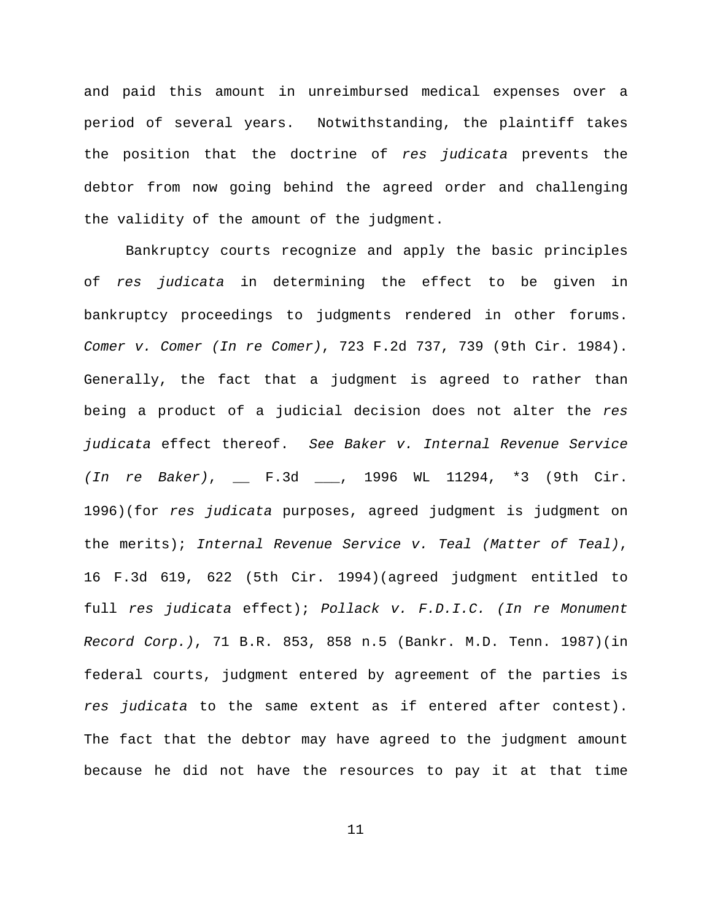and paid this amount in unreimbursed medical expenses over a period of several years. Notwithstanding, the plaintiff takes the position that the doctrine of *res judicata* prevents the debtor from now going behind the agreed order and challenging the validity of the amount of the judgment.

Bankruptcy courts recognize and apply the basic principles of *res judicata* in determining the effect to be given in bankruptcy proceedings to judgments rendered in other forums. *Comer v. Comer (In re Comer)*, 723 F.2d 737, 739 (9th Cir. 1984). Generally, the fact that a judgment is agreed to rather than being a product of a judicial decision does not alter the *res judicata* effect thereof. *See Baker v. Internal Revenue Service (In re Baker)*, \_\_ F.3d \_\_\_, 1996 WL 11294, \*3 (9th Cir. 1996)(for *res judicata* purposes, agreed judgment is judgment on the merits); *Internal Revenue Service v. Teal (Matter of Teal)*, 16 F.3d 619, 622 (5th Cir. 1994)(agreed judgment entitled to full *res judicata* effect); *Pollack v. F.D.I.C. (In re Monument Record Corp.)*, 71 B.R. 853, 858 n.5 (Bankr. M.D. Tenn. 1987)(in federal courts, judgment entered by agreement of the parties is *res judicata* to the same extent as if entered after contest). The fact that the debtor may have agreed to the judgment amount because he did not have the resources to pay it at that time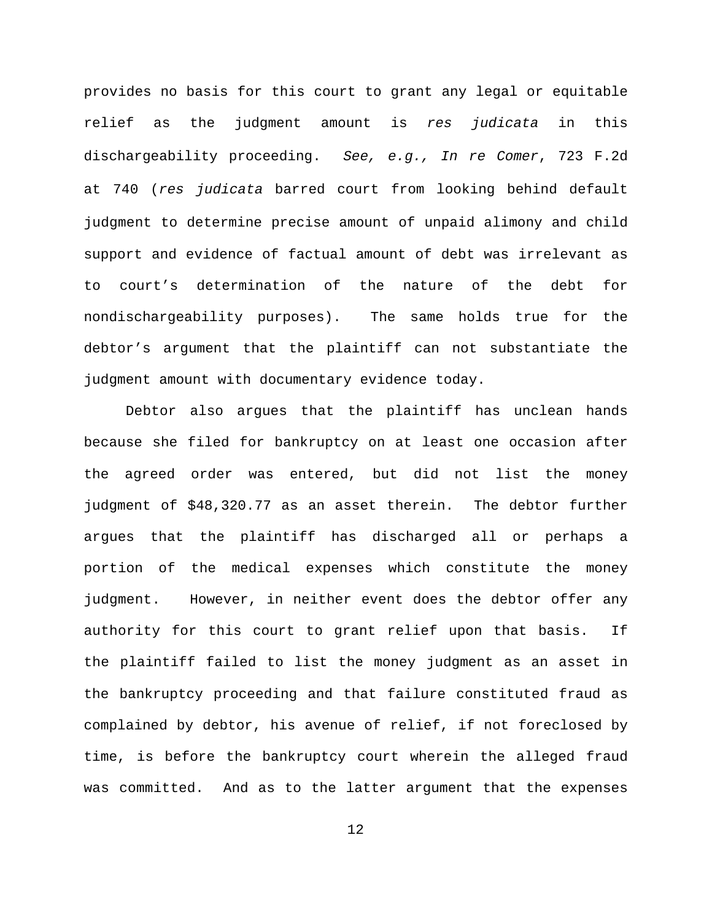provides no basis for this court to grant any legal or equitable relief as the judgment amount is *res judicata* in this dischargeability proceeding. *See, e.g., In re Comer*, 723 F.2d at 740 (*res judicata* barred court from looking behind default judgment to determine precise amount of unpaid alimony and child support and evidence of factual amount of debt was irrelevant as to court's determination of the nature of the debt for nondischargeability purposes). The same holds true for the debtor's argument that the plaintiff can not substantiate the judgment amount with documentary evidence today.

Debtor also argues that the plaintiff has unclean hands because she filed for bankruptcy on at least one occasion after the agreed order was entered, but did not list the money judgment of \$48,320.77 as an asset therein. The debtor further argues that the plaintiff has discharged all or perhaps a portion of the medical expenses which constitute the money judgment. However, in neither event does the debtor offer any authority for this court to grant relief upon that basis. If the plaintiff failed to list the money judgment as an asset in the bankruptcy proceeding and that failure constituted fraud as complained by debtor, his avenue of relief, if not foreclosed by time, is before the bankruptcy court wherein the alleged fraud was committed. And as to the latter argument that the expenses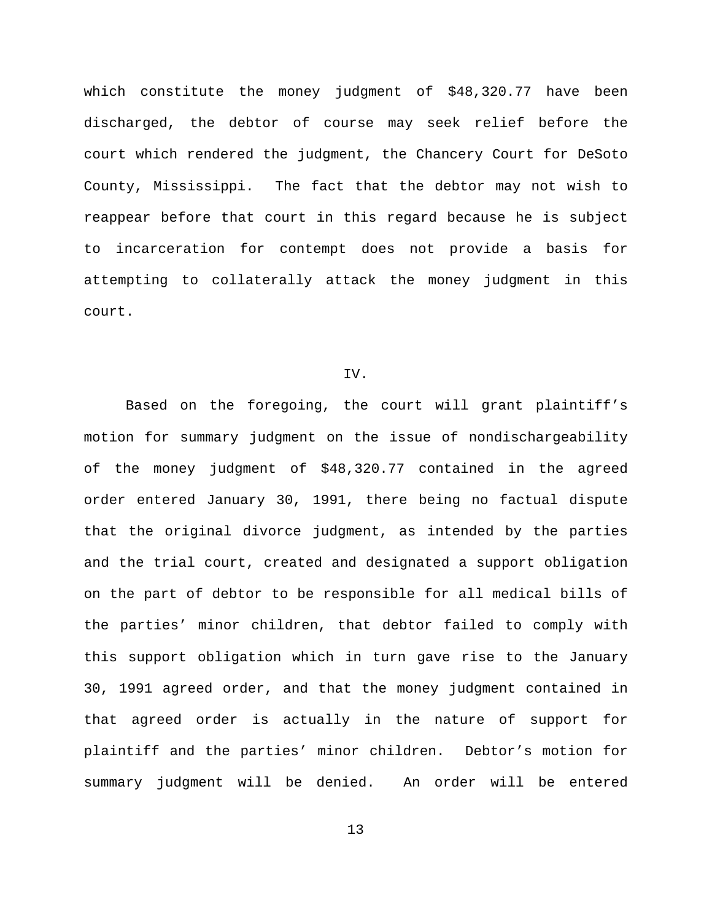which constitute the money judgment of \$48,320.77 have been discharged, the debtor of course may seek relief before the court which rendered the judgment, the Chancery Court for DeSoto County, Mississippi. The fact that the debtor may not wish to reappear before that court in this regard because he is subject to incarceration for contempt does not provide a basis for attempting to collaterally attack the money judgment in this court.

## IV.

Based on the foregoing, the court will grant plaintiff's motion for summary judgment on the issue of nondischargeability of the money judgment of \$48,320.77 contained in the agreed order entered January 30, 1991, there being no factual dispute that the original divorce judgment, as intended by the parties and the trial court, created and designated a support obligation on the part of debtor to be responsible for all medical bills of the parties' minor children, that debtor failed to comply with this support obligation which in turn gave rise to the January 30, 1991 agreed order, and that the money judgment contained in that agreed order is actually in the nature of support for plaintiff and the parties' minor children. Debtor's motion for summary judgment will be denied. An order will be entered